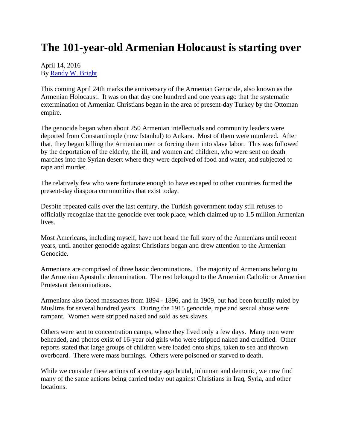## **The 101-year-old Armenian Holocaust is starting over**

## April 14, 2016 By [Randy W. Bright](http://www.tulsabeacon.com/author/slug-o6yd1v)

This coming April 24th marks the anniversary of the Armenian Genocide, also known as the Armenian Holocaust. It was on that day one hundred and one years ago that the systematic extermination of Armenian Christians began in the area of present-day Turkey by the Ottoman empire.

The genocide began when about 250 Armenian intellectuals and community leaders were deported from Constantinople (now Istanbul) to Ankara. Most of them were murdered. After that, they began killing the Armenian men or forcing them into slave labor. This was followed by the deportation of the elderly, the ill, and women and children, who were sent on death marches into the Syrian desert where they were deprived of food and water, and subjected to rape and murder.

The relatively few who were fortunate enough to have escaped to other countries formed the present-day diaspora communities that exist today.

Despite repeated calls over the last century, the Turkish government today still refuses to officially recognize that the genocide ever took place, which claimed up to 1.5 million Armenian lives.

Most Americans, including myself, have not heard the full story of the Armenians until recent years, until another genocide against Christians began and drew attention to the Armenian Genocide.

Armenians are comprised of three basic denominations. The majority of Armenians belong to the Armenian Apostolic denomination. The rest belonged to the Armenian Catholic or Armenian Protestant denominations.

Armenians also faced massacres from 1894 - 1896, and in 1909, but had been brutally ruled by Muslims for several hundred years. During the 1915 genocide, rape and sexual abuse were rampant. Women were stripped naked and sold as sex slaves.

Others were sent to concentration camps, where they lived only a few days. Many men were beheaded, and photos exist of 16-year old girls who were stripped naked and crucified. Other reports stated that large groups of children were loaded onto ships, taken to sea and thrown overboard. There were mass burnings. Others were poisoned or starved to death.

While we consider these actions of a century ago brutal, inhuman and demonic, we now find many of the same actions being carried today out against Christians in Iraq, Syria, and other locations.